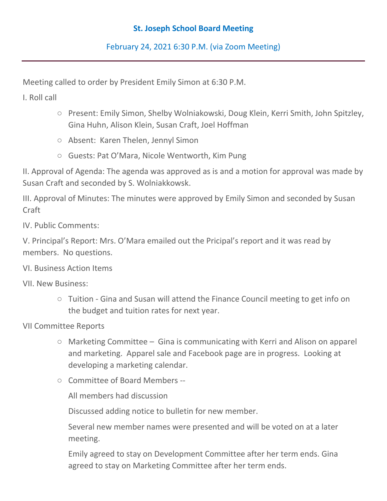## **St. Joseph School Board Meeting**

February 24, 2021 6:30 P.M. (via Zoom Meeting)

Meeting called to order by President Emily Simon at 6:30 P.M.

I. Roll call

- Present: Emily Simon, Shelby Wolniakowski, Doug Klein, Kerri Smith, John Spitzley, Gina Huhn, Alison Klein, Susan Craft, Joel Hoffman
- Absent: Karen Thelen, Jennyl Simon
- Guests: Pat O'Mara, Nicole Wentworth, Kim Pung

II. Approval of Agenda: The agenda was approved as is and a motion for approval was made by Susan Craft and seconded by S. Wolniakkowsk.

III. Approval of Minutes: The minutes were approved by Emily Simon and seconded by Susan Craft

IV. Public Comments:

V. Principal's Report: Mrs. O'Mara emailed out the Pricipal's report and it was read by members. No questions.

VI. Business Action Items

VII. New Business:

○ Tuition - Gina and Susan will attend the Finance Council meeting to get info on the budget and tuition rates for next year.

VII Committee Reports

- Marketing Committee Gina is communicating with Kerri and Alison on apparel and marketing. Apparel sale and Facebook page are in progress. Looking at developing a marketing calendar.
- Committee of Board Members --

All members had discussion

Discussed adding notice to bulletin for new member.

Several new member names were presented and will be voted on at a later meeting.

Emily agreed to stay on Development Committee after her term ends. Gina agreed to stay on Marketing Committee after her term ends.